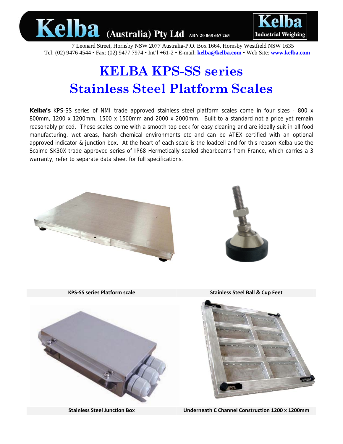



7 Leonard Street, Hornsby NSW 2077 Australia-P.O. Box 1664, Hornsby Westfield NSW 1635 Tel: (02) 9476 4544 • Fax: (02) 9477 7974 • Int'l +61-2 • E-mail: **kelba@kelba.com** • Web Site: **www.kelba.com**

## **KELBA KPS-SS series Stainless Steel Platform Scales**

**Kelba's** KPS-SS series of NMI trade approved stainless steel platform scales come in four sizes - 800 x 800mm, 1200 x 1200mm, 1500 x 1500mm and 2000 x 2000mm. Built to a standard not a price yet remain reasonably priced. These scales come with a smooth top deck for easy cleaning and are ideally suit in all food manufacturing, wet areas, harsh chemical environments etc and can be ATEX certified with an optional approved indicator & junction box. At the heart of each scale is the loadcell and for this reason Kelba use the Scaime SK30X trade approved series of IP68 Hermetically sealed shearbeams from France, which carries a 3 warranty, refer to separate data sheet for full specifications.



**Stainless Steel Junction Box Underneath C Channel Construction 1200 x 1200mm**